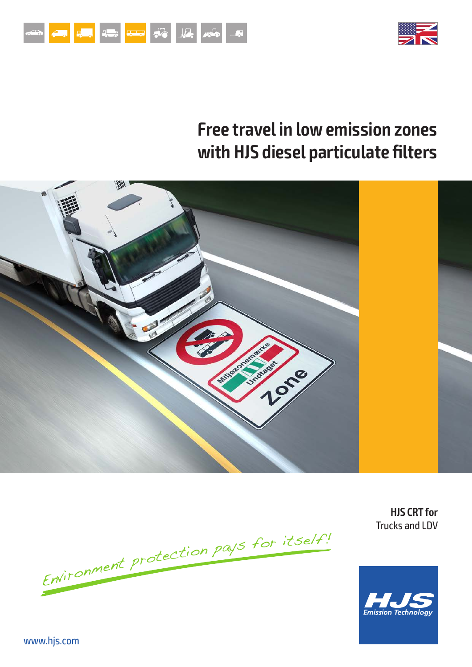



# **Free travel in low emission zones with HJS diesel particulate filters**



Environment protection pays for itself!

**HJS CRT for** Trucks and LDV

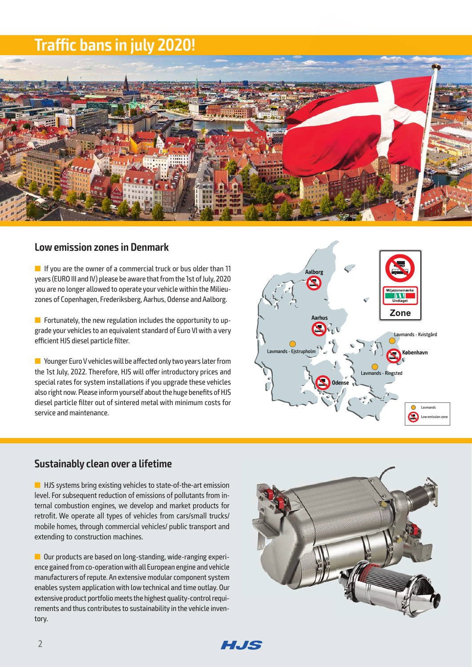## **Traffic bans in july 2020!**



#### **Low emission zones in Denmark**

 $\blacksquare$  If you are the owner of a commercial truck or bus older than 11 years (EURO III and IV) please be aware that from the 1st of July, 2020 you are no longer allowed to operate your vehicle within the Milieuzones of Copenhagen, Frederiksberg, Aarhus, Odense and Aalborg.

 $\blacksquare$  Fortunately, the new regulation includes the opportunity to upgrade your vehicles to an equivalent standard of Euro VI with a very efficient HJS diesel particle filter.

**n** Younger Euro V vehicles will be affected only two years later from the 1st July, 2022. Therefore, HJS will offer introductory prices and special rates for system installations if you upgrade these vehicles also right now. Please inform yourself about the huge benefits of HJS diesel particle filter out of sintered metal with minimum costs for service and maintenance.



#### **Sustainably clean over a lifetime**

 $\blacksquare$  HJS systems bring existing vehicles to state-of-the-art emission level. For subsequent reduction of emissions of pollutants from internal combustion engines, we develop and market products for retrofit. We operate all types of vehicles from cars/small trucks/ mobile homes, through commercial vehicles/ public transport and extending to construction machines.

**n** Our products are based on long-standing, wide-ranging experience gained from co-operation with all European engine and vehicle manufacturers of repute. An extensive modular component system enables system application with low technical and time outlay. Our extensive product portfolio meets the highest quality-control requirements and thus contributes to sustainability in the vehicle inventory.



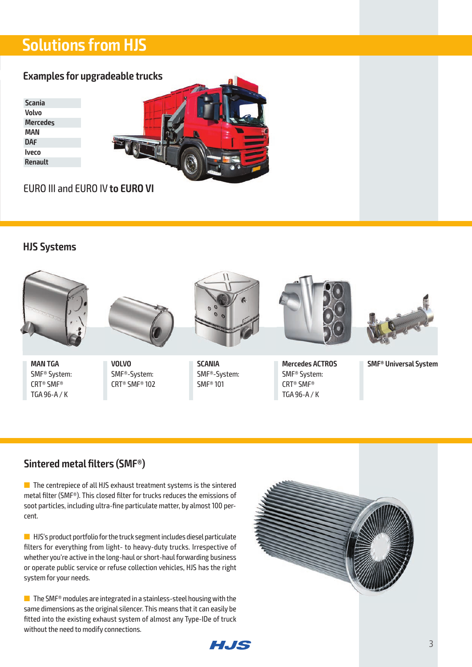# **Solutions from HJS**

### **Examples for upgradeable trucks**

**Scania Volvo Mercedes MAN DAF Iveco Renault**



EURO III and EURO IV **to EURO VI**

### **HJS Systems**



**MAN TGA** SMF® System: CRT® SMF® TGA 96-A / K



**VOLVO** SMF®-System: CRT® SMF® 102



**SCANIA** SMF®-System: SMF® 101



**Mercedes ACTROS** SMF® System: CRT® SMF® TGA 96-A / K



**SMF® Universal System**

### **Sintered metal filters (SMF®)**

 $\blacksquare$  The centrepiece of all HJS exhaust treatment systems is the sintered metal filter (SMF®). This closed filter for trucks reduces the emissions of soot particles, including ultra-fine particulate matter, by almost 100 percent.

 $\blacksquare$  HJS's product portfolio for the truck segment includes diesel particulate filters for everything from light- to heavy-duty trucks. Irrespective of whether you're active in the long-haul or short-haul forwarding business or operate public service or refuse collection vehicles, HJS has the right system for your needs.

■ The SMF® modules are integrated in a stainless-steel housing with the same dimensions as the original silencer. This means that it can easily be fitted into the existing exhaust system of almost any Type-IDe of truck without the need to modify connections.